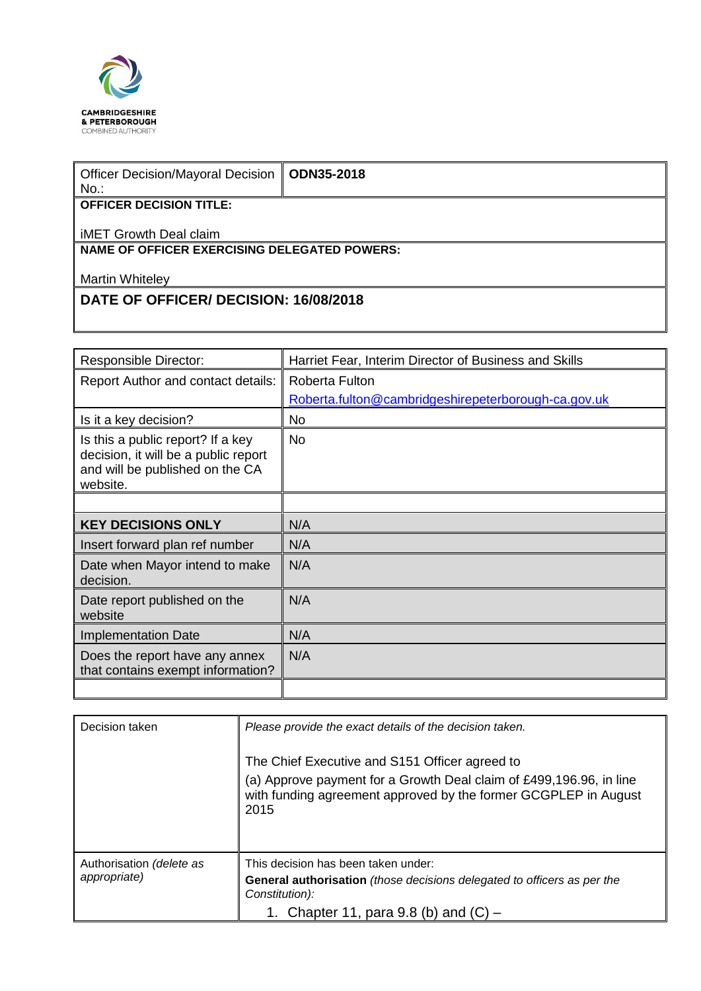

| <b>Officer Decision/Mayoral Decision</b><br>$No.$ : | <b>ODN35-2018</b> |  |
|-----------------------------------------------------|-------------------|--|
| <b>OFFICER DECISION TITLE:</b>                      |                   |  |
| iMET Growth Deal claim                              |                   |  |
| <b>NAME OF OFFICER EXERCISING DELEGATED POWERS:</b> |                   |  |
| <b>Martin Whiteley</b>                              |                   |  |
| <b>DATE OF OFFICER/ DECISION: 16/08/2018</b>        |                   |  |
|                                                     |                   |  |

| <b>Responsible Director:</b>                                                                                             | Harriet Fear, Interim Director of Business and Skills |  |
|--------------------------------------------------------------------------------------------------------------------------|-------------------------------------------------------|--|
| Report Author and contact details:                                                                                       | Roberta Fulton                                        |  |
|                                                                                                                          | Roberta.fulton@cambridgeshirepeterborough-ca.gov.uk   |  |
| Is it a key decision?                                                                                                    | <b>No</b>                                             |  |
| Is this a public report? If a key<br>decision, it will be a public report<br>and will be published on the CA<br>website. | No.                                                   |  |
|                                                                                                                          |                                                       |  |
| <b>KEY DECISIONS ONLY</b>                                                                                                | N/A                                                   |  |
| Insert forward plan ref number                                                                                           | N/A                                                   |  |
| Date when Mayor intend to make<br>decision.                                                                              | N/A                                                   |  |
| Date report published on the<br>website                                                                                  | N/A                                                   |  |
| Implementation Date                                                                                                      | N/A                                                   |  |
| Does the report have any annex<br>that contains exempt information?                                                      | N/A                                                   |  |
|                                                                                                                          |                                                       |  |

| Decision taken                           | Please provide the exact details of the decision taken.                                                                                                                                          |  |  |
|------------------------------------------|--------------------------------------------------------------------------------------------------------------------------------------------------------------------------------------------------|--|--|
|                                          | The Chief Executive and S151 Officer agreed to<br>(a) Approve payment for a Growth Deal claim of £499,196.96, in line<br>with funding agreement approved by the former GCGPLEP in August<br>2015 |  |  |
| Authorisation (delete as<br>appropriate) | This decision has been taken under:<br>General authorisation (those decisions delegated to officers as per the<br>Constitution):                                                                 |  |  |
|                                          | 1. Chapter 11, para 9.8 (b) and $(C)$ –                                                                                                                                                          |  |  |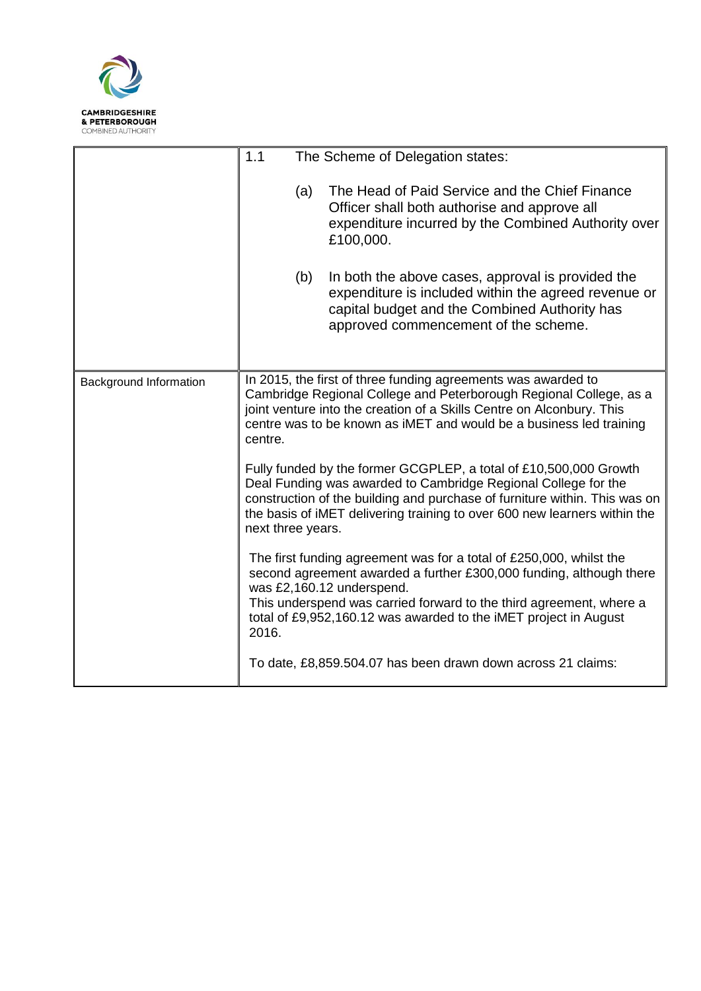

|                        | 1.1<br>The Scheme of Delegation states:                                                                                                                                                                                                                                                                                                                                                                                                                                                                                                                                                                               |                                                                                                                                                                                                    |  |
|------------------------|-----------------------------------------------------------------------------------------------------------------------------------------------------------------------------------------------------------------------------------------------------------------------------------------------------------------------------------------------------------------------------------------------------------------------------------------------------------------------------------------------------------------------------------------------------------------------------------------------------------------------|----------------------------------------------------------------------------------------------------------------------------------------------------------------------------------------------------|--|
|                        | (a)                                                                                                                                                                                                                                                                                                                                                                                                                                                                                                                                                                                                                   | The Head of Paid Service and the Chief Finance<br>Officer shall both authorise and approve all<br>expenditure incurred by the Combined Authority over<br>£100,000.                                 |  |
|                        | (b)                                                                                                                                                                                                                                                                                                                                                                                                                                                                                                                                                                                                                   | In both the above cases, approval is provided the<br>expenditure is included within the agreed revenue or<br>capital budget and the Combined Authority has<br>approved commencement of the scheme. |  |
| Background Information | In 2015, the first of three funding agreements was awarded to<br>Cambridge Regional College and Peterborough Regional College, as a<br>joint venture into the creation of a Skills Centre on Alconbury. This<br>centre was to be known as iMET and would be a business led training<br>centre.<br>Fully funded by the former GCGPLEP, a total of £10,500,000 Growth<br>Deal Funding was awarded to Cambridge Regional College for the<br>construction of the building and purchase of furniture within. This was on<br>the basis of iMET delivering training to over 600 new learners within the<br>next three years. |                                                                                                                                                                                                    |  |
|                        |                                                                                                                                                                                                                                                                                                                                                                                                                                                                                                                                                                                                                       |                                                                                                                                                                                                    |  |
|                        | The first funding agreement was for a total of £250,000, whilst the<br>second agreement awarded a further £300,000 funding, although there<br>was £2,160.12 underspend.<br>This underspend was carried forward to the third agreement, where a<br>total of £9,952,160.12 was awarded to the iMET project in August<br>2016.                                                                                                                                                                                                                                                                                           |                                                                                                                                                                                                    |  |
|                        |                                                                                                                                                                                                                                                                                                                                                                                                                                                                                                                                                                                                                       | To date, £8,859.504.07 has been drawn down across 21 claims:                                                                                                                                       |  |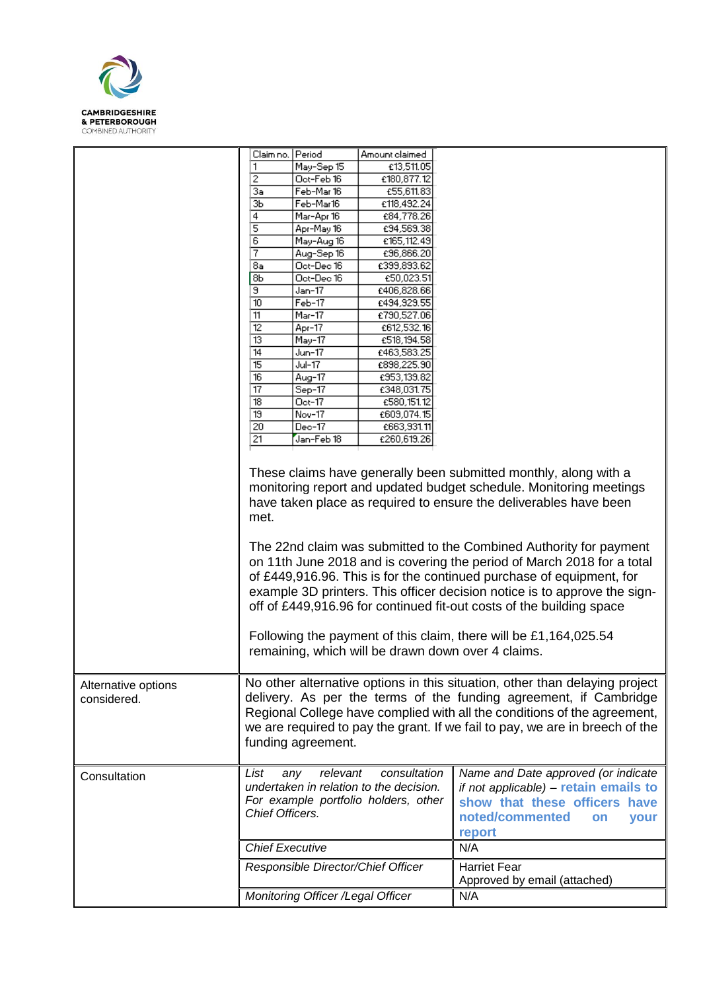

|                                    | Claim no.                                                                                                                                                                                                                                                                                                                                                                                                                                                                                                                                                                                                                                                                                                                  | Period                            | Amount claimed                                          |                                                                                                                                                                                                                                                                                                              |
|------------------------------------|----------------------------------------------------------------------------------------------------------------------------------------------------------------------------------------------------------------------------------------------------------------------------------------------------------------------------------------------------------------------------------------------------------------------------------------------------------------------------------------------------------------------------------------------------------------------------------------------------------------------------------------------------------------------------------------------------------------------------|-----------------------------------|---------------------------------------------------------|--------------------------------------------------------------------------------------------------------------------------------------------------------------------------------------------------------------------------------------------------------------------------------------------------------------|
|                                    | 1                                                                                                                                                                                                                                                                                                                                                                                                                                                                                                                                                                                                                                                                                                                          | May-Sep 15                        | £13,511.05                                              |                                                                                                                                                                                                                                                                                                              |
|                                    | 2                                                                                                                                                                                                                                                                                                                                                                                                                                                                                                                                                                                                                                                                                                                          | Oct-Feb 16                        | £180,877.12                                             |                                                                                                                                                                                                                                                                                                              |
|                                    | За                                                                                                                                                                                                                                                                                                                                                                                                                                                                                                                                                                                                                                                                                                                         | Feb-Mar 16                        | £55,611.83                                              |                                                                                                                                                                                                                                                                                                              |
|                                    | ЗЬ                                                                                                                                                                                                                                                                                                                                                                                                                                                                                                                                                                                                                                                                                                                         | Feb-Mar16                         | £118,492.24                                             |                                                                                                                                                                                                                                                                                                              |
|                                    | 4                                                                                                                                                                                                                                                                                                                                                                                                                                                                                                                                                                                                                                                                                                                          | Mar-Apr 16                        | €84,778.26                                              |                                                                                                                                                                                                                                                                                                              |
|                                    | 5                                                                                                                                                                                                                                                                                                                                                                                                                                                                                                                                                                                                                                                                                                                          | Apr-May 16                        | £94,569.38                                              |                                                                                                                                                                                                                                                                                                              |
|                                    | 6                                                                                                                                                                                                                                                                                                                                                                                                                                                                                                                                                                                                                                                                                                                          | May-Aug 16                        | £165,112.49                                             |                                                                                                                                                                                                                                                                                                              |
|                                    | 7                                                                                                                                                                                                                                                                                                                                                                                                                                                                                                                                                                                                                                                                                                                          | Aug-Sep 16                        | €96,866.20                                              |                                                                                                                                                                                                                                                                                                              |
|                                    | 8a                                                                                                                                                                                                                                                                                                                                                                                                                                                                                                                                                                                                                                                                                                                         | Oct-Dec 16                        | £399,893.62                                             |                                                                                                                                                                                                                                                                                                              |
|                                    | 8Ь                                                                                                                                                                                                                                                                                                                                                                                                                                                                                                                                                                                                                                                                                                                         | Oct-Dec 16                        | £50,023.51                                              |                                                                                                                                                                                                                                                                                                              |
|                                    | Θ.                                                                                                                                                                                                                                                                                                                                                                                                                                                                                                                                                                                                                                                                                                                         | Jan-17                            | £406,828.66                                             |                                                                                                                                                                                                                                                                                                              |
|                                    | 10                                                                                                                                                                                                                                                                                                                                                                                                                                                                                                                                                                                                                                                                                                                         | $Feb-17$                          | £494,929.55                                             |                                                                                                                                                                                                                                                                                                              |
|                                    | 11                                                                                                                                                                                                                                                                                                                                                                                                                                                                                                                                                                                                                                                                                                                         | Mar-17                            | €790,527.06                                             |                                                                                                                                                                                                                                                                                                              |
|                                    | $\overline{12}$                                                                                                                                                                                                                                                                                                                                                                                                                                                                                                                                                                                                                                                                                                            | Apr-17                            | £612,532.16                                             |                                                                                                                                                                                                                                                                                                              |
|                                    | 13                                                                                                                                                                                                                                                                                                                                                                                                                                                                                                                                                                                                                                                                                                                         | May-17                            | £518,194.58                                             |                                                                                                                                                                                                                                                                                                              |
|                                    | 14                                                                                                                                                                                                                                                                                                                                                                                                                                                                                                                                                                                                                                                                                                                         | Jun-17                            | £463,583.25                                             |                                                                                                                                                                                                                                                                                                              |
|                                    | 15                                                                                                                                                                                                                                                                                                                                                                                                                                                                                                                                                                                                                                                                                                                         | Jul-17                            | £898,225.90                                             |                                                                                                                                                                                                                                                                                                              |
|                                    | 16                                                                                                                                                                                                                                                                                                                                                                                                                                                                                                                                                                                                                                                                                                                         | Aug-17                            | £953,139.82                                             |                                                                                                                                                                                                                                                                                                              |
|                                    | 17                                                                                                                                                                                                                                                                                                                                                                                                                                                                                                                                                                                                                                                                                                                         | Sep-17                            | £348,031.75                                             |                                                                                                                                                                                                                                                                                                              |
|                                    | $\overline{18}$                                                                                                                                                                                                                                                                                                                                                                                                                                                                                                                                                                                                                                                                                                            | Oct-17                            | £580,151.12                                             |                                                                                                                                                                                                                                                                                                              |
|                                    | 19                                                                                                                                                                                                                                                                                                                                                                                                                                                                                                                                                                                                                                                                                                                         | Nov-17                            | £609,074.15                                             |                                                                                                                                                                                                                                                                                                              |
|                                    | 20                                                                                                                                                                                                                                                                                                                                                                                                                                                                                                                                                                                                                                                                                                                         | $Dec-17$                          |                                                         |                                                                                                                                                                                                                                                                                                              |
|                                    | 21                                                                                                                                                                                                                                                                                                                                                                                                                                                                                                                                                                                                                                                                                                                         | Jan-Feb 18                        | £663,931.11<br>£260,619.26                              |                                                                                                                                                                                                                                                                                                              |
|                                    |                                                                                                                                                                                                                                                                                                                                                                                                                                                                                                                                                                                                                                                                                                                            |                                   |                                                         |                                                                                                                                                                                                                                                                                                              |
|                                    | These claims have generally been submitted monthly, along with a<br>monitoring report and updated budget schedule. Monitoring meetings<br>have taken place as required to ensure the deliverables have been<br>met.<br>The 22nd claim was submitted to the Combined Authority for payment<br>on 11th June 2018 and is covering the period of March 2018 for a total<br>of £449,916.96. This is for the continued purchase of equipment, for<br>example 3D printers. This officer decision notice is to approve the sign-<br>off of £449,916.96 for continued fit-out costs of the building space<br>Following the payment of this claim, there will be £1,164,025.54<br>remaining, which will be drawn down over 4 claims. |                                   |                                                         |                                                                                                                                                                                                                                                                                                              |
| Alternative options<br>considered. |                                                                                                                                                                                                                                                                                                                                                                                                                                                                                                                                                                                                                                                                                                                            | funding agreement.                |                                                         | No other alternative options in this situation, other than delaying project<br>delivery. As per the terms of the funding agreement, if Cambridge<br>Regional College have complied with all the conditions of the agreement,<br>we are required to pay the grant. If we fail to pay, we are in breech of the |
| Consultation                       | List                                                                                                                                                                                                                                                                                                                                                                                                                                                                                                                                                                                                                                                                                                                       | relevant<br>any                   | consultation<br>undertaken in relation to the decision. | Name and Date approved (or indicate<br>if not applicable) - retain emails to                                                                                                                                                                                                                                 |
|                                    | For example portfolio holders, other<br>show that these officers have<br>Chief Officers.                                                                                                                                                                                                                                                                                                                                                                                                                                                                                                                                                                                                                                   |                                   |                                                         |                                                                                                                                                                                                                                                                                                              |
|                                    |                                                                                                                                                                                                                                                                                                                                                                                                                                                                                                                                                                                                                                                                                                                            |                                   |                                                         | noted/commented<br>your<br><b>on</b>                                                                                                                                                                                                                                                                         |
|                                    |                                                                                                                                                                                                                                                                                                                                                                                                                                                                                                                                                                                                                                                                                                                            |                                   |                                                         |                                                                                                                                                                                                                                                                                                              |
|                                    |                                                                                                                                                                                                                                                                                                                                                                                                                                                                                                                                                                                                                                                                                                                            |                                   |                                                         | report                                                                                                                                                                                                                                                                                                       |
|                                    | Chief Executive                                                                                                                                                                                                                                                                                                                                                                                                                                                                                                                                                                                                                                                                                                            |                                   |                                                         | N/A                                                                                                                                                                                                                                                                                                          |
|                                    |                                                                                                                                                                                                                                                                                                                                                                                                                                                                                                                                                                                                                                                                                                                            |                                   |                                                         | <b>Harriet Fear</b>                                                                                                                                                                                                                                                                                          |
|                                    | Responsible Director/Chief Officer                                                                                                                                                                                                                                                                                                                                                                                                                                                                                                                                                                                                                                                                                         |                                   |                                                         |                                                                                                                                                                                                                                                                                                              |
|                                    |                                                                                                                                                                                                                                                                                                                                                                                                                                                                                                                                                                                                                                                                                                                            |                                   |                                                         | Approved by email (attached)                                                                                                                                                                                                                                                                                 |
|                                    |                                                                                                                                                                                                                                                                                                                                                                                                                                                                                                                                                                                                                                                                                                                            | Monitoring Officer /Legal Officer |                                                         | N/A                                                                                                                                                                                                                                                                                                          |